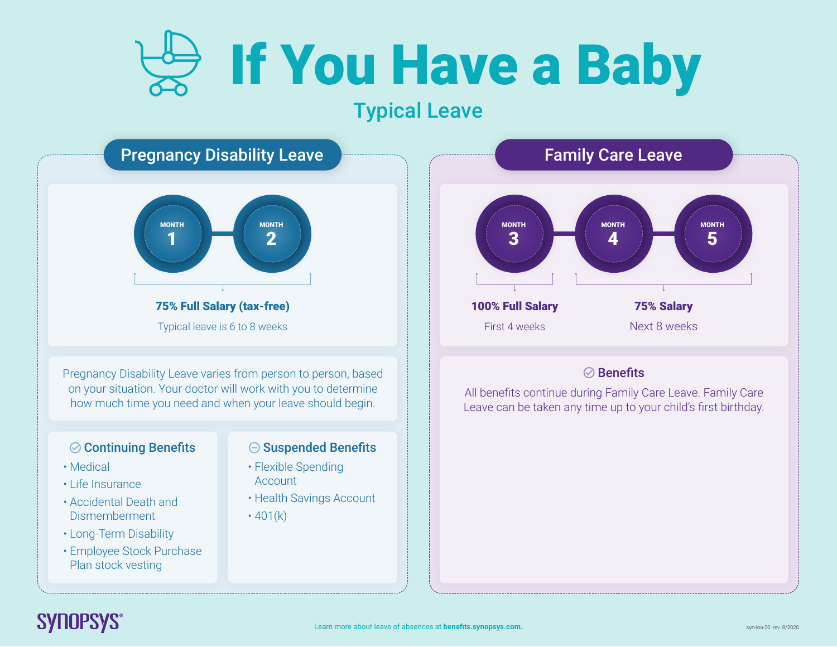## If You Have a Baby

### Typical Leave



### **SYNOPSYS®**